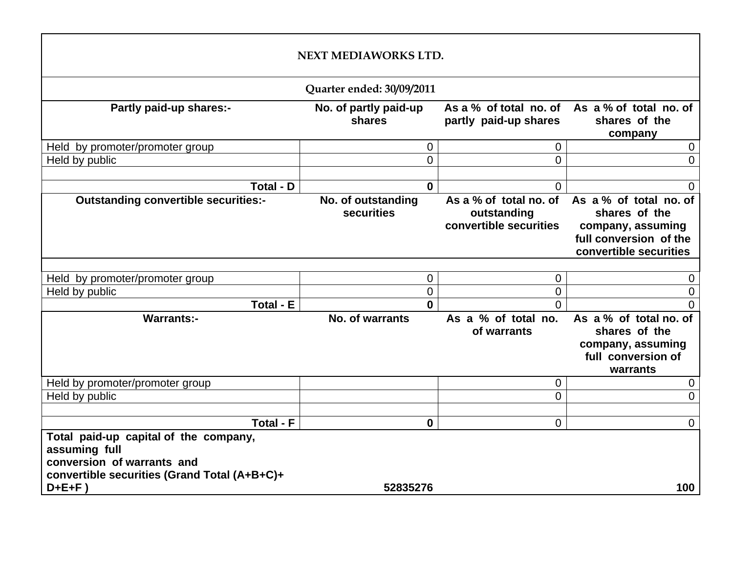|                                                                                                                                                     | NEXT MEDIAWORKS LTD.             |                                                                 |                                                                                                                  |  |  |  |  |
|-----------------------------------------------------------------------------------------------------------------------------------------------------|----------------------------------|-----------------------------------------------------------------|------------------------------------------------------------------------------------------------------------------|--|--|--|--|
|                                                                                                                                                     | Quarter ended: 30/09/2011        |                                                                 |                                                                                                                  |  |  |  |  |
| Partly paid-up shares:-                                                                                                                             | No. of partly paid-up<br>shares  | partly paid-up shares                                           | As a % of total no. of As a % of total no. of<br>shares of the<br>company                                        |  |  |  |  |
| Held by promoter/promoter group                                                                                                                     | $\mathbf 0$                      | 0                                                               | 0                                                                                                                |  |  |  |  |
| Held by public                                                                                                                                      | $\overline{0}$                   | $\overline{0}$                                                  | $\overline{0}$                                                                                                   |  |  |  |  |
|                                                                                                                                                     |                                  |                                                                 |                                                                                                                  |  |  |  |  |
| Total - D                                                                                                                                           | $\mathbf 0$                      | $\overline{0}$                                                  | $\overline{0}$                                                                                                   |  |  |  |  |
| <b>Outstanding convertible securities:-</b>                                                                                                         | No. of outstanding<br>securities | As a % of total no. of<br>outstanding<br>convertible securities | As a % of total no. of<br>shares of the<br>company, assuming<br>full conversion of the<br>convertible securities |  |  |  |  |
|                                                                                                                                                     |                                  |                                                                 |                                                                                                                  |  |  |  |  |
| Held by promoter/promoter group                                                                                                                     | $\mathbf 0$                      | 0                                                               | 0                                                                                                                |  |  |  |  |
| Held by public                                                                                                                                      | $\mathbf 0$                      | $\overline{0}$                                                  | $\boldsymbol{0}$                                                                                                 |  |  |  |  |
| <b>Total - E</b>                                                                                                                                    | $\mathbf{0}$                     | $\Omega$                                                        | $\overline{0}$                                                                                                   |  |  |  |  |
| <b>Warrants:-</b>                                                                                                                                   | No. of warrants                  | As a % of total no.<br>of warrants                              | As a % of total no. of<br>shares of the<br>company, assuming<br>full conversion of<br>warrants                   |  |  |  |  |
| Held by promoter/promoter group                                                                                                                     |                                  | 0                                                               | 0                                                                                                                |  |  |  |  |
| Held by public                                                                                                                                      |                                  | 0                                                               | $\overline{0}$                                                                                                   |  |  |  |  |
|                                                                                                                                                     |                                  |                                                                 |                                                                                                                  |  |  |  |  |
| <b>Total - F</b>                                                                                                                                    | $\mathbf{0}$                     | $\overline{0}$                                                  | $\overline{0}$                                                                                                   |  |  |  |  |
| Total paid-up capital of the company,<br>assuming full<br>conversion of warrants and<br>convertible securities (Grand Total (A+B+C)+<br>$D + E + F$ | 52835276                         |                                                                 | 100                                                                                                              |  |  |  |  |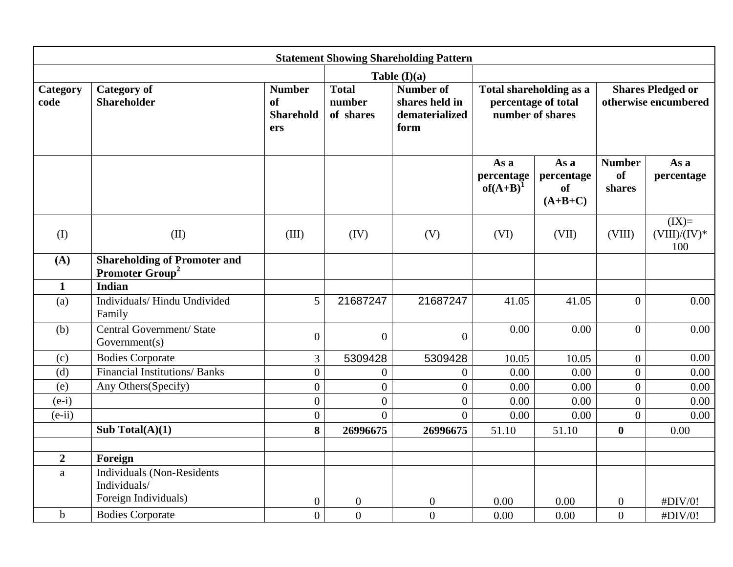|                  |                                                                    |                                                       |                                                                                                     | <b>Statement Showing Shareholding Pattern</b> |                                                                    |                                              |                                      |                                   |                                                  |
|------------------|--------------------------------------------------------------------|-------------------------------------------------------|-----------------------------------------------------------------------------------------------------|-----------------------------------------------|--------------------------------------------------------------------|----------------------------------------------|--------------------------------------|-----------------------------------|--------------------------------------------------|
|                  |                                                                    |                                                       |                                                                                                     | Table $(I)(a)$                                |                                                                    |                                              |                                      |                                   |                                                  |
| Category<br>code | <b>Category of</b><br><b>Shareholder</b>                           | <b>Number</b><br><b>of</b><br><b>Sharehold</b><br>ers | <b>Total</b><br><b>Number of</b><br>number<br>shares held in<br>of shares<br>dematerialized<br>form |                                               | Total shareholding as a<br>percentage of total<br>number of shares |                                              |                                      |                                   | <b>Shares Pledged or</b><br>otherwise encumbered |
|                  |                                                                    |                                                       |                                                                                                     |                                               | As a<br>percentage<br>$of(A+B)^{1}$                                | As a<br>percentage<br><b>of</b><br>$(A+B+C)$ | <b>Number</b><br><b>of</b><br>shares | As a<br>percentage                |                                                  |
| (I)              | (II)                                                               | (III)                                                 | (IV)                                                                                                | (V)                                           | (VI)                                                               | (VII)                                        | (VIII)                               | $(IX)=$<br>$(VIII)/(IV)^*$<br>100 |                                                  |
| (A)              | <b>Shareholding of Promoter and</b><br>Promoter Group <sup>2</sup> |                                                       |                                                                                                     |                                               |                                                                    |                                              |                                      |                                   |                                                  |
| $\mathbf{1}$     | <b>Indian</b>                                                      |                                                       |                                                                                                     |                                               |                                                                    |                                              |                                      |                                   |                                                  |
| (a)              | Individuals/Hindu Undivided<br>Family                              | 5                                                     | 21687247                                                                                            | 21687247                                      | 41.05                                                              | 41.05                                        | $\overline{0}$                       | 0.00                              |                                                  |
| (b)              | Central Government/ State<br>Government(s)                         | $\overline{0}$                                        | $\boldsymbol{0}$                                                                                    | $\overline{0}$                                | 0.00                                                               | 0.00                                         | $\overline{0}$                       | 0.00                              |                                                  |
| (c)              | <b>Bodies Corporate</b>                                            | $\overline{3}$                                        | 5309428                                                                                             | 5309428                                       | 10.05                                                              | 10.05                                        | $\boldsymbol{0}$                     | 0.00                              |                                                  |
| (d)              | <b>Financial Institutions/Banks</b>                                | $\overline{0}$                                        | $\boldsymbol{0}$                                                                                    | $\overline{0}$                                | 0.00                                                               | 0.00                                         | $\overline{0}$                       | 0.00                              |                                                  |
| (e)              | Any Others(Specify)                                                | $\overline{0}$                                        | $\overline{0}$                                                                                      | $\overline{0}$                                | 0.00                                                               | 0.00                                         | $\overline{0}$                       | 0.00                              |                                                  |
| $(e-i)$          |                                                                    | $\boldsymbol{0}$                                      | $\overline{0}$                                                                                      | $\overline{0}$                                | 0.00                                                               | 0.00                                         | $\overline{0}$                       | 0.00                              |                                                  |
| $(e-ii)$         |                                                                    | $\overline{0}$                                        | $\overline{0}$                                                                                      | $\overline{0}$                                | 0.00                                                               | 0.00                                         | $\overline{0}$                       | 0.00                              |                                                  |
|                  | Sub Total $(A)(1)$                                                 | 8                                                     | 26996675                                                                                            | 26996675                                      | 51.10                                                              | 51.10                                        | $\boldsymbol{0}$                     | 0.00                              |                                                  |
| $\overline{2}$   | Foreign                                                            |                                                       |                                                                                                     |                                               |                                                                    |                                              |                                      |                                   |                                                  |
| $\mathbf{a}$     | <b>Individuals (Non-Residents</b><br>Individuals/                  |                                                       |                                                                                                     |                                               |                                                                    |                                              |                                      |                                   |                                                  |
|                  | Foreign Individuals)                                               | $\overline{0}$                                        | $\mathbf{0}$                                                                                        | $\boldsymbol{0}$                              | 0.00                                                               | 0.00                                         | $\overline{0}$                       | #DIV/0!                           |                                                  |
| $\mathbf b$      | <b>Bodies Corporate</b>                                            | $\overline{0}$                                        | $\overline{0}$                                                                                      | $\overline{0}$                                | 0.00                                                               | 0.00                                         | $\overline{0}$                       | #DIV/0!                           |                                                  |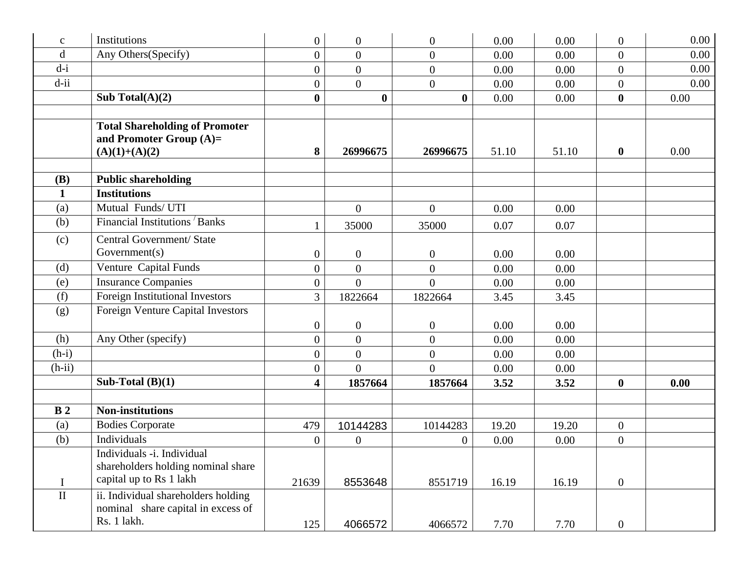| $\mathbf C$    | Institutions                                                                                | $\overline{0}$          | $\overline{0}$   | $\boldsymbol{0}$ | 0.00  | 0.00  | $\mathbf{0}$     | 0.00 |
|----------------|---------------------------------------------------------------------------------------------|-------------------------|------------------|------------------|-------|-------|------------------|------|
| $\mathbf d$    | Any Others(Specify)                                                                         | $\overline{0}$          | $\overline{0}$   | $\boldsymbol{0}$ | 0.00  | 0.00  | $\boldsymbol{0}$ | 0.00 |
| $d-i$          |                                                                                             | $\overline{0}$          | $\overline{0}$   | $\overline{0}$   | 0.00  | 0.00  | $\overline{0}$   | 0.00 |
| $d$ -ii        |                                                                                             | $\overline{0}$          | $\overline{0}$   | $\overline{0}$   | 0.00  | 0.00  | $\theta$         | 0.00 |
|                | Sub Total $(A)(2)$                                                                          | $\boldsymbol{0}$        | $\boldsymbol{0}$ | $\bf{0}$         | 0.00  | 0.00  | $\boldsymbol{0}$ | 0.00 |
|                | <b>Total Shareholding of Promoter</b><br>and Promoter Group $(A)=$<br>$(A)(1)+(A)(2)$       | 8                       | 26996675         | 26996675         | 51.10 | 51.10 | $\boldsymbol{0}$ | 0.00 |
| <b>(B)</b>     | <b>Public shareholding</b>                                                                  |                         |                  |                  |       |       |                  |      |
| $\mathbf{1}$   | <b>Institutions</b>                                                                         |                         |                  |                  |       |       |                  |      |
| (a)            | Mutual Funds/UTI                                                                            |                         | $\mathbf{0}$     | $\overline{0}$   | 0.00  | 0.00  |                  |      |
| (b)            | Financial Institutions Banks                                                                |                         | 35000            | 35000            | 0.07  | 0.07  |                  |      |
| (c)            | Central Government/ State<br>Government(s)                                                  | $\boldsymbol{0}$        | $\mathbf{0}$     | $\boldsymbol{0}$ | 0.00  | 0.00  |                  |      |
| (d)            | Venture Capital Funds                                                                       | $\overline{0}$          | $\overline{0}$   | $\overline{0}$   | 0.00  | 0.00  |                  |      |
| (e)            | <b>Insurance Companies</b>                                                                  | $\boldsymbol{0}$        | $\overline{0}$   | $\theta$         | 0.00  | 0.00  |                  |      |
| (f)            | Foreign Institutional Investors                                                             | 3                       | 1822664          | 1822664          | 3.45  | 3.45  |                  |      |
| (g)            | Foreign Venture Capital Investors                                                           | $\boldsymbol{0}$        | $\boldsymbol{0}$ | $\boldsymbol{0}$ | 0.00  | 0.00  |                  |      |
| (h)            | Any Other (specify)                                                                         | $\boldsymbol{0}$        | $\overline{0}$   | $\overline{0}$   | 0.00  | 0.00  |                  |      |
| $(h-i)$        |                                                                                             | $\overline{0}$          | $\overline{0}$   | $\boldsymbol{0}$ | 0.00  | 0.00  |                  |      |
| $(h-ii)$       |                                                                                             | $\overline{0}$          | $\Omega$         | $\overline{0}$   | 0.00  | 0.00  |                  |      |
|                | Sub-Total $(B)(1)$                                                                          | $\overline{\mathbf{4}}$ | 1857664          | 1857664          | 3.52  | 3.52  | $\boldsymbol{0}$ | 0.00 |
|                |                                                                                             |                         |                  |                  |       |       |                  |      |
| B <sub>2</sub> | <b>Non-institutions</b>                                                                     |                         |                  |                  |       |       |                  |      |
| (a)            | <b>Bodies Corporate</b>                                                                     | 479                     | 10144283         | 10144283         | 19.20 | 19.20 | $\mathbf{0}$     |      |
| (b)            | Individuals                                                                                 | $\boldsymbol{0}$        | $\overline{0}$   | $\boldsymbol{0}$ | 0.00  | 0.00  | $\boldsymbol{0}$ |      |
| $\mathbf I$    | Individuals -i. Individual<br>shareholders holding nominal share<br>capital up to Rs 1 lakh | 21639                   | 8553648          | 8551719          | 16.19 | 16.19 | $\mathbf{0}$     |      |
| $\mathbf{I}$   | ii. Individual shareholders holding<br>nominal share capital in excess of<br>Rs. 1 lakh.    | 125                     | 4066572          | 4066572          | 7.70  | 7.70  | $\overline{0}$   |      |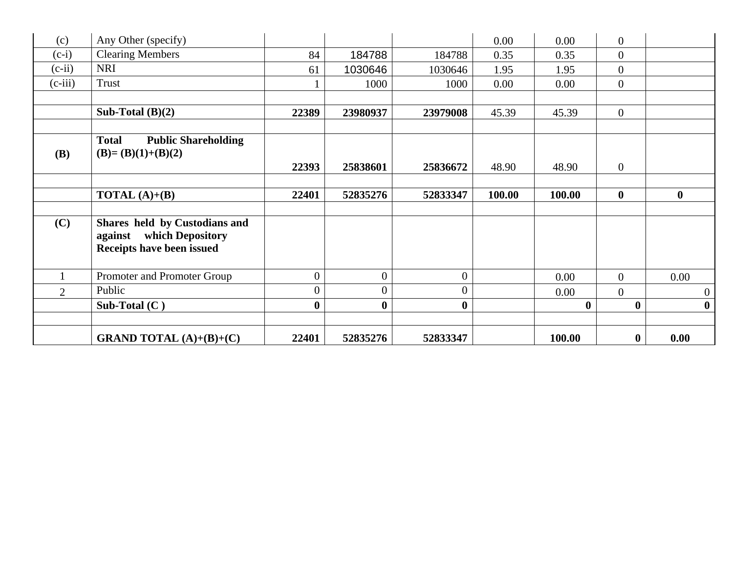| (c)            | Any Other (specify)                                                                       |                  |                |                | 0.00   | 0.00     | $\boldsymbol{0}$ |                  |
|----------------|-------------------------------------------------------------------------------------------|------------------|----------------|----------------|--------|----------|------------------|------------------|
| $(c-i)$        | <b>Clearing Members</b>                                                                   | 84               | 184788         | 184788         | 0.35   | 0.35     | $\boldsymbol{0}$ |                  |
| $(c-ii)$       | <b>NRI</b>                                                                                | 61               | 1030646        | 1030646        | 1.95   | 1.95     | $\boldsymbol{0}$ |                  |
| $(c-iii)$      | Trust                                                                                     |                  | 1000           | 1000           | 0.00   | 0.00     | $\overline{0}$   |                  |
|                |                                                                                           |                  |                |                |        |          |                  |                  |
|                | Sub-Total $(B)(2)$                                                                        | 22389            | 23980937       | 23979008       | 45.39  | 45.39    | $\mathbf{0}$     |                  |
|                |                                                                                           |                  |                |                |        |          |                  |                  |
|                | <b>Public Shareholding</b><br><b>Total</b>                                                |                  |                |                |        |          |                  |                  |
| <b>(B)</b>     | $(B)=(B)(1)+(B)(2)$                                                                       |                  |                |                |        |          |                  |                  |
|                |                                                                                           | 22393            | 25838601       | 25836672       | 48.90  | 48.90    | $\mathbf{0}$     |                  |
|                |                                                                                           |                  |                |                |        |          |                  |                  |
|                | <b>TOTAL</b> $(A)+(B)$                                                                    | 22401            | 52835276       | 52833347       | 100.00 | 100.00   | $\boldsymbol{0}$ | $\bf{0}$         |
| (C)            | Shares held by Custodians and<br>which Depository<br>against<br>Receipts have been issued |                  |                |                |        |          |                  |                  |
|                | Promoter and Promoter Group                                                               | $\mathbf{0}$     | $\overline{0}$ | $\overline{0}$ |        | 0.00     | $\overline{0}$   | 0.00             |
| $\overline{2}$ | Public                                                                                    | $\boldsymbol{0}$ | $\overline{0}$ | $\overline{0}$ |        | 0.00     | $\boldsymbol{0}$ | $\overline{0}$   |
|                | Sub-Total $(C)$                                                                           | $\bf{0}$         | $\bf{0}$       | $\bf{0}$       |        | $\bf{0}$ | $\bf{0}$         | $\boldsymbol{0}$ |
|                | <b>GRAND TOTAL</b> $(A)+(B)+(C)$                                                          | 22401            | 52835276       | 52833347       |        | 100.00   | $\bf{0}$         | 0.00             |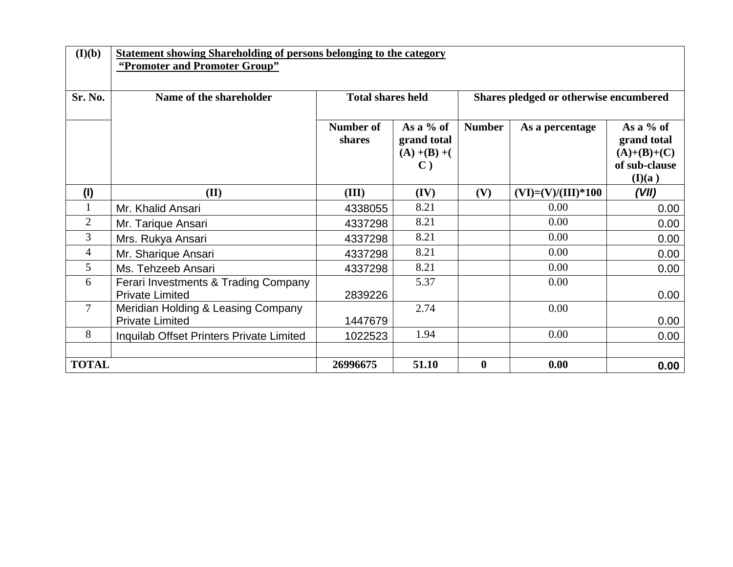| (I)(b)         | <b>Statement showing Shareholding of persons belonging to the category</b><br>"Promoter and Promoter Group" |                          |                                                                 |                  |                      |                                                                        |  |
|----------------|-------------------------------------------------------------------------------------------------------------|--------------------------|-----------------------------------------------------------------|------------------|----------------------|------------------------------------------------------------------------|--|
| Sr. No.        | Name of the shareholder                                                                                     | <b>Total shares held</b> | Shares pledged or otherwise encumbered                          |                  |                      |                                                                        |  |
|                |                                                                                                             | Number of<br>shares      | As a $%$ of<br>grand total<br>$(A) + (B) + ($<br>$\mathbf{C}$ ) | <b>Number</b>    | As a percentage      | As a $%$ of<br>grand total<br>$(A)+(B)+(C)$<br>of sub-clause<br>(I)(a) |  |
| (1)            | (II)                                                                                                        | (III)                    | (IV)                                                            | (V)              | $(VI)=(V)/(III)*100$ | (VII)                                                                  |  |
|                | Mr. Khalid Ansari                                                                                           | 4338055                  | 8.21                                                            |                  | 0.00                 | 0.00                                                                   |  |
| $\overline{2}$ | Mr. Tarique Ansari                                                                                          | 4337298                  | 8.21                                                            |                  | 0.00                 | 0.00                                                                   |  |
| 3              | Mrs. Rukya Ansari                                                                                           | 4337298                  | 8.21                                                            |                  | 0.00                 | 0.00                                                                   |  |
| $\overline{4}$ | Mr. Sharique Ansari                                                                                         | 4337298                  | 8.21                                                            |                  | 0.00                 | 0.00                                                                   |  |
| 5              | Ms. Tehzeeb Ansari                                                                                          | 4337298                  | 8.21                                                            |                  | 0.00                 | 0.00                                                                   |  |
| 6              | Ferari Investments & Trading Company<br><b>Private Limited</b>                                              | 2839226                  | 5.37                                                            |                  | 0.00                 | 0.00                                                                   |  |
| $\overline{7}$ | Meridian Holding & Leasing Company<br><b>Private Limited</b>                                                | 1447679                  | 2.74                                                            |                  | 0.00                 | 0.00                                                                   |  |
| 8              | Inquilab Offset Printers Private Limited                                                                    | 1022523                  | 1.94                                                            |                  | 0.00                 | 0.00                                                                   |  |
|                |                                                                                                             |                          |                                                                 |                  |                      |                                                                        |  |
| <b>TOTAL</b>   |                                                                                                             | 26996675                 | 51.10                                                           | $\boldsymbol{0}$ | 0.00                 | 0.00                                                                   |  |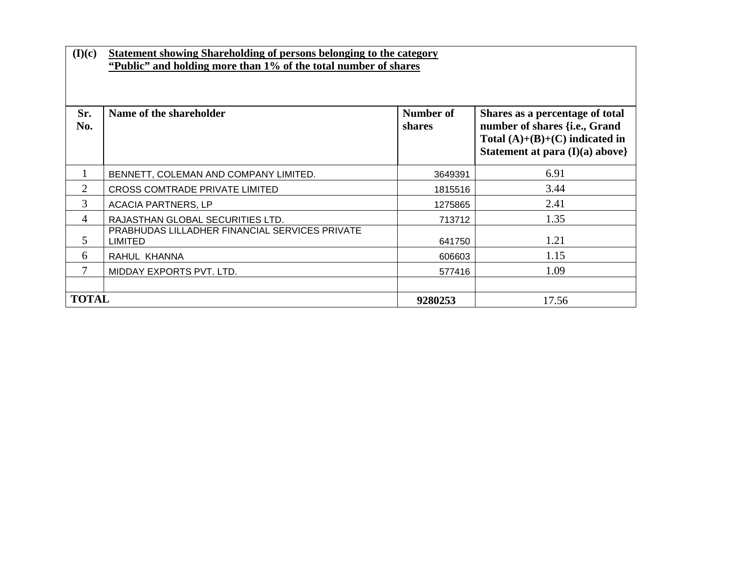| (I)(c)         | <b>Statement showing Shareholding of persons belonging to the category</b><br>"Public" and holding more than 1% of the total number of shares |                            |                                                                                                                                           |  |  |  |  |
|----------------|-----------------------------------------------------------------------------------------------------------------------------------------------|----------------------------|-------------------------------------------------------------------------------------------------------------------------------------------|--|--|--|--|
| Sr.<br>No.     | Name of the shareholder                                                                                                                       | <b>Number of</b><br>shares | Shares as a percentage of total<br>number of shares {i.e., Grand<br>Total $(A)+(B)+(C)$ indicated in<br>Statement at para $(I)(a)$ above} |  |  |  |  |
|                | BENNETT, COLEMAN AND COMPANY LIMITED.                                                                                                         | 3649391                    | 6.91                                                                                                                                      |  |  |  |  |
| $\overline{2}$ | <b>CROSS COMTRADE PRIVATE LIMITED</b>                                                                                                         | 1815516                    | 3.44                                                                                                                                      |  |  |  |  |
| 3              | <b>ACACIA PARTNERS, LP</b>                                                                                                                    | 1275865                    | 2.41                                                                                                                                      |  |  |  |  |
| 4              | RAJASTHAN GLOBAL SECURITIES LTD.                                                                                                              | 713712                     | 1.35                                                                                                                                      |  |  |  |  |
| 5              | PRABHUDAS LILLADHER FINANCIAL SERVICES PRIVATE<br><b>LIMITED</b>                                                                              | 641750                     | 1.21                                                                                                                                      |  |  |  |  |
| 6              | RAHUL KHANNA                                                                                                                                  | 606603                     | 1.15                                                                                                                                      |  |  |  |  |
| 7              | MIDDAY EXPORTS PVT. LTD.                                                                                                                      | 577416                     | 1.09                                                                                                                                      |  |  |  |  |
|                |                                                                                                                                               |                            |                                                                                                                                           |  |  |  |  |
| <b>TOTAL</b>   |                                                                                                                                               | 9280253                    | 17.56                                                                                                                                     |  |  |  |  |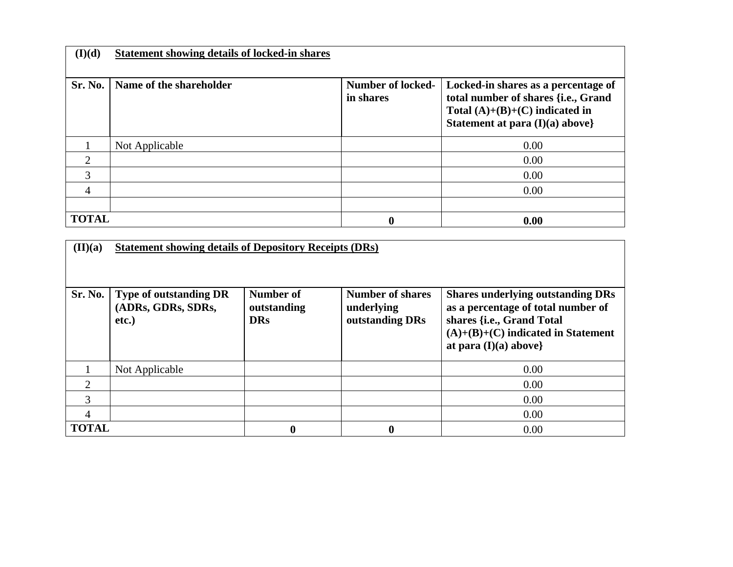| (I)(d)       | <b>Statement showing details of locked-in shares</b> |                                       |                                                                                                                                                     |
|--------------|------------------------------------------------------|---------------------------------------|-----------------------------------------------------------------------------------------------------------------------------------------------------|
|              |                                                      |                                       |                                                                                                                                                     |
| Sr. No.      | Name of the shareholder                              | <b>Number of locked-</b><br>in shares | Locked-in shares as a percentage of<br>total number of shares {i.e., Grand<br>Total $(A)+(B)+(C)$ indicated in<br>Statement at para $(I)(a)$ above} |
|              | Not Applicable                                       |                                       | 0.00                                                                                                                                                |
| ⌒            |                                                      |                                       | 0.00                                                                                                                                                |
| 3            |                                                      |                                       | 0.00                                                                                                                                                |
| 4            |                                                      |                                       | 0.00                                                                                                                                                |
|              |                                                      |                                       |                                                                                                                                                     |
| <b>TOTAL</b> |                                                      | 0                                     | 0.00                                                                                                                                                |

| $(\mathbf{II})(\mathbf{a})$ | <b>Statement showing details of Depository Receipts (DRs)</b> |                                        |                                                          |                                                                                                                                                                                |  |  |  |  |
|-----------------------------|---------------------------------------------------------------|----------------------------------------|----------------------------------------------------------|--------------------------------------------------------------------------------------------------------------------------------------------------------------------------------|--|--|--|--|
|                             |                                                               |                                        |                                                          |                                                                                                                                                                                |  |  |  |  |
| Sr. No.                     | <b>Type of outstanding DR</b><br>(ADRs, GDRs, SDRs,<br>etc.)  | Number of<br>outstanding<br><b>DRs</b> | <b>Number of shares</b><br>underlying<br>outstanding DRs | <b>Shares underlying outstanding DRs</b><br>as a percentage of total number of<br>shares {i.e., Grand Total<br>$(A)+(B)+(C)$ indicated in Statement<br>at para $(I)(a)$ above} |  |  |  |  |
|                             | Not Applicable                                                |                                        |                                                          | 0.00                                                                                                                                                                           |  |  |  |  |
| ↑                           |                                                               |                                        |                                                          | 0.00                                                                                                                                                                           |  |  |  |  |
| 3                           |                                                               |                                        |                                                          | 0.00                                                                                                                                                                           |  |  |  |  |
| 4                           |                                                               |                                        |                                                          | 0.00                                                                                                                                                                           |  |  |  |  |
| <b>TOTAL</b>                |                                                               | $\boldsymbol{0}$                       | 0                                                        | 0.00                                                                                                                                                                           |  |  |  |  |